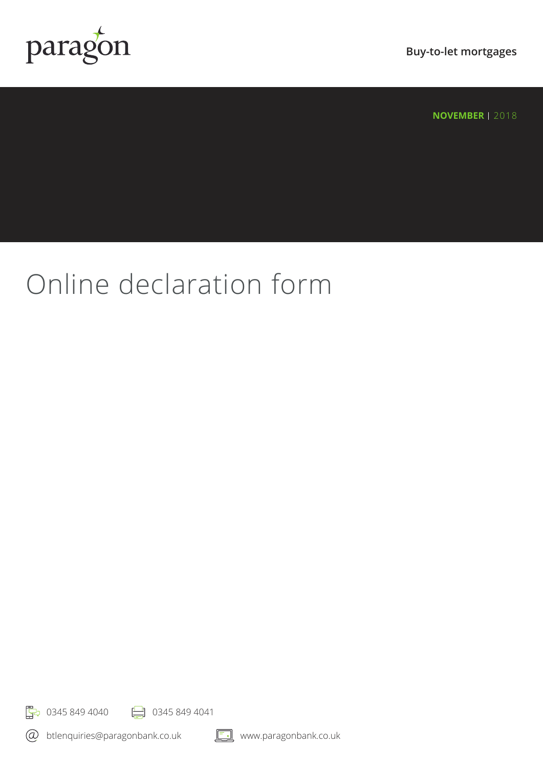

**Buy-to-let mortgages**

**NOVEMBER** | 2018

# Online declaration form

**F**<sub>7</sub> 0345 849 4040 **P** 0345 849 4041

btlenquiries@paragonbank.co.uk

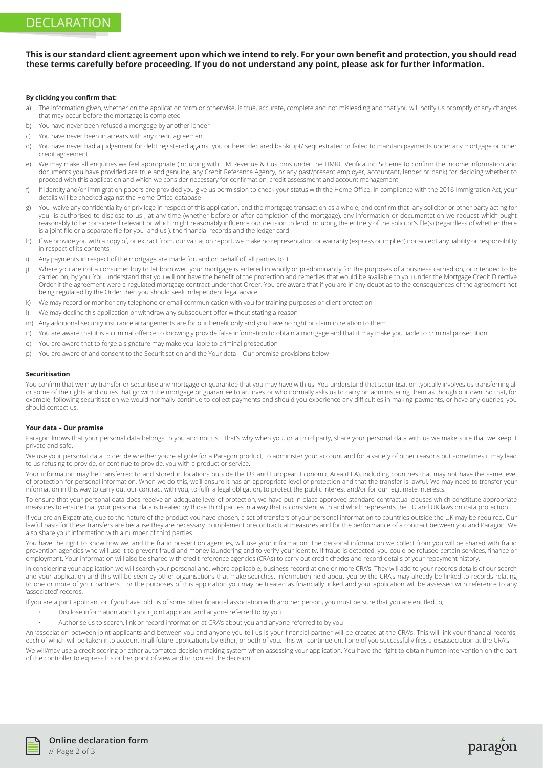## DECLARATION

### **This is our standard client agreement upon which we intend to rely. For your own benefit and protection, you should read these terms carefully before proceeding. If you do not understand any point, please ask for further information.**

#### **By clicking you confirm that:**

- a) The information given, whether on the application form or otherwise, is true, accurate, complete and not misleading and that you will notify us promptly of any changes that may occur before the mortgage is completed
- b) You have never been refused a mortgage by another lender
- c) You have never been in arrears with any credit agreement
- d) You have never had a judgement for debt registered against you or been declared bankrupt/ sequestrated or failed to maintain payments under any mortgage or other credit agreement
- e) We may make all enquiries we feel appropriate (including with HM Revenue & Customs under the HMRC Verification Scheme to confirm the income information and documents you have provided are true and genuine, any Credit Reference Agency, or any past/present employer, accountant, lender or bank) for deciding whether to proceed with this application and which we consider necessary for confirmation, credit assessment and account management
- f) If identity and/or immigration papers are provided you give us permission to check your status with the Home Office. In compliance with the 2016 Immigration Act, your details will be checked against the Home Office database
- g) You waive any confidentiality or privilege in respect of this application, and the mortgage transaction as a whole, and confirm that any solicitor or other party acting for you is authorised to disclose to us , at any time (whether before or after completion of the mortgage), any information or documentation we request which ought reasonably to be considered relevant or which might reasonably influence our decision to lend, including the entirety of the solicitor's file(s) (regardless of whether there is a joint file or a separate file for you and us ), the financial records and the ledger card
- h) If we provide you with a copy of, or extract from, our valuation report, we make no representation or warranty (express or implied) nor accept any liability or responsibility in respect of its contents
- i) Any payments in respect of the mortgage are made for, and on behalf of, all parties to it
- i) Where you are not a consumer buy to let borrower, your mortgage is entered in wholly or predominantly for the purposes of a business carried on, or intended to be carried on, by you. You understand that you will not have the benefit of the protection and remedies that would be available to you under the Mortgage Credit Directive Order if the agreement were a regulated mortgage contract under that Order. You are aware that if you are in any doubt as to the consequences of the agreement not being regulated by the Order then you should seek independent legal advice
- k) We may record or monitor any telephone or email communication with you for training purposes or client protection
- l) We may decline this application or withdraw any subsequent offer without stating a reason
- m) Any additional security insurance arrangements are for our benefit only and you have no right or claim in relation to them
- n) You are aware that it is a criminal offence to knowingly provide false information to obtain a mortgage and that it may make you liable to criminal prosecution
- o) You are aware that to forge a signature may make you liable to criminal prosecution
- p) You are aware of and consent to the Securitisation and the Your data Our promise provisions below

#### **Securitisation**

You confirm that we may transfer or securitise any mortgage or guarantee that you may have with us. You understand that securitisation typically involves us transferring all or some of the rights and duties that go with the mortgage or guarantee to an investor who normally asks us to carry on administering them as though our own. So that, for example, following securitisation we would normally continue to collect payments and should you experience any difficulties in making payments, or have any queries, you should contact us.

#### **Your data – Our promise**

Paragon knows that your personal data belongs to you and not us. That's why when you, or a third party, share your personal data with us we make sure that we keep it private and safe.

We use your personal data to decide whether you're eligible for a Paragon product, to administer your account and for a variety of other reasons but sometimes it may lead to us refusing to provide, or continue to provide, you with a product or service.

Your information may be transferred to and stored in locations outside the UK and European Economic Area (EEA), including countries that may not have the same level of protection for personal information. When we do this, we'll ensure it has an appropriate level of protection and that the transfer is lawful. We may need to transfer your information in this way to carry out our contract with you, to fulfil a legal obligation, to protect the public interest and/or for our legitimate interests.

To ensure that your personal data does receive an adequate level of protection, we have put in place approved standard contractual clauses which constitute appropriate measures to ensure that your personal data is treated by those third parties in a way that is consistent with and which represents the EU and UK laws on data protection.

If you are an Expatriate, due to the nature of the product you have chosen, a set of transfers of your personal information to countries outside the UK may be required. Our lawful basis for these transfers are because they are necessary to implement precontractual measures and for the performance of a contract between you and Paragon. We also share your information with a number of third parties.

You have the right to know how we, and the fraud prevention agencies, will use your information. The personal information we collect from you will be shared with fraud prevention agencies who will use it to prevent fraud and money laundering and to verify your identity. If fraud is detected, you could be refused certain services, finance or employment. Your information will also be shared with credit reference agencies (CRAs) to carry out credit checks and record details of your repayment history.

In considering your application we will search your personal and, where applicable, business record at one or more CRA's. They will add to your records details of our search and your application and this will be seen by other organisations that make searches. Information held about you by the CRA's may already be linked to records relating to one or more of your partners. For the purposes of this application you may be treated as financially linked and your application will be assessed with reference to any 'associated' records.

If you are a joint applicant or if you have told us of some other financial association with another person, you must be sure that you are entitled to;

• Disclose information about your joint applicant and anyone referred to by you

of the controller to express his or her point of view and to contest the decision.

• Authorise us to search, link or record information at CRA's about you and anyone referred to by you

An 'association' between joint applicants and between you and anyone you tell us is your financial partner will be created at the CRA's. This will link your financial records, each of which will be taken into account in all future applications by either, or both of you. This will continue until one of you successfully files a disassociation at the CRA's. We will/may use a credit scoring or other automated decision-making system when assessing your application. You have the right to obtain human intervention on the part